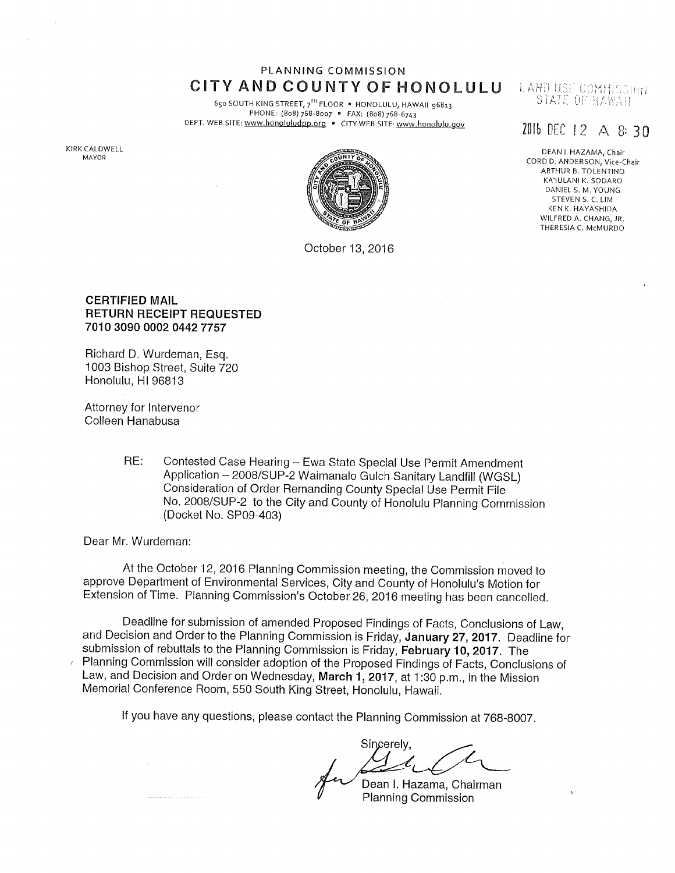## PLANNING COMMISSION CITY AND COUNTY OF HONOLULU

650 SOUTH KING STREET, 7<sup>TH</sup> FLOOR • HONOLULU, HAWAII 96813<br>PHONE: (808) 768-8007 • FAX: (808) 768-6743 DEPT. WEB SITE: www.honoluludpp.org . CITY WEB SITE: www.honolulu.gov

KIRK CALDWELL MAYOR



October 13, 2016

#### LAND USE COMMISSION STATE OF HAWAII

# 2016 DEC 12  $\triangle$  8:30

DEAN I. HAZAMA, Chair CORD D. ANDERSON, Vice-Chair ARTHUR B. TOLENTINO KA'IULANI K. SODARO DANIEL S. M. YOUNG STEVEN S. C. LIM KEN K. HAYASHIDA WILFRED A. CHANG, JR. THERESIA C. McMURDO

#### **CERTIFIED MAIL RETURN RECEIPT REQUESTED** 7010 3090 0002 0442 7757

Richard D. Wurdeman, Esq. 1003 Bishop Street, Suite 720 Honolulu, HI 96813

Attorney for Intervenor Colleen Hanabusa

> RE: Contested Case Hearing - Ewa State Special Use Permit Amendment Application - 2008/SUP-2 Waimanalo Gulch Sanitary Landfill (WGSL) Consideration of Order Remanding County Special Use Permit File No. 2008/SUP-2 to the City and County of Honolulu Planning Commission (Docket No. SP09-403)

Dear Mr. Wurdeman:

At the October 12, 2016 Planning Commission meeting, the Commission moved to approve Department of Environmental Services, City and County of Honolulu's Motion for Extension of Time. Planning Commission's October 26, 2016 meeting has been cancelled.

Deadline for submission of amended Proposed Findings of Facts, Conclusions of Law, and Decision and Order to the Planning Commission is Friday, January 27, 2017. Deadline for submission of rebuttals to the Planning Commission is Friday, February 10, 2017. The Planning Commission will consider adoption of the Proposed Findings of Facts, Conclusions of Law, and Decision and Order on Wednesday, March 1, 2017, at 1:30 p.m., in the Mission Memorial Conference Room, 550 South King Street, Honolulu, Hawaii.

If you have any questions, please contact the Planning Commission at 768-8007.

Sincerely,

Dean I. Hazama, Chairman **Planning Commission**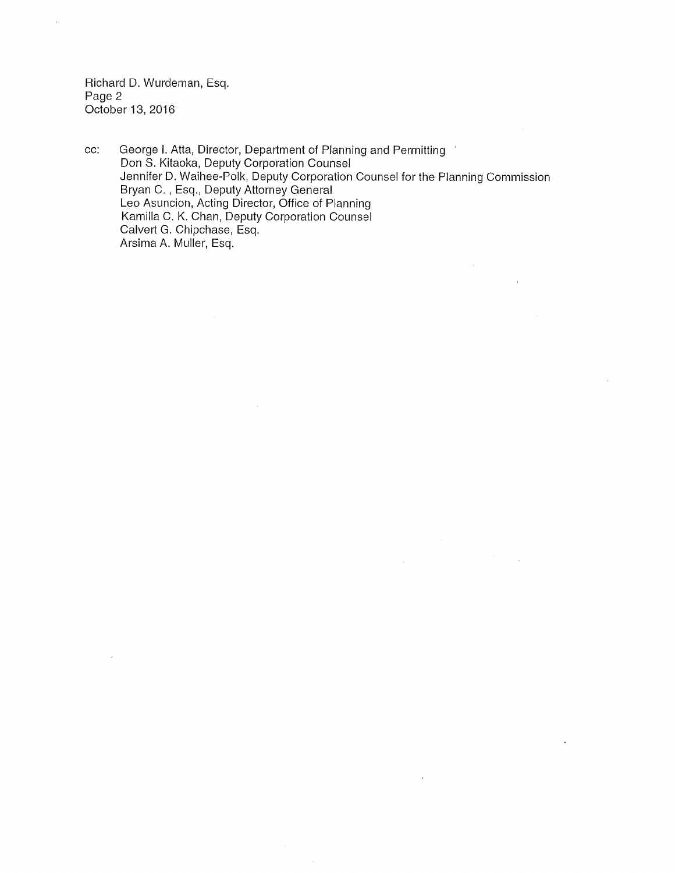Richard D. Wurdeman, Esq. Page 2 October 13, 2016

cc: George I. Atta, Director, Department of Planning and Permitting Don S. Kitaoka, Deputy Corporation Counsel Jennifer D. Waihee-Polk, Deputy Corporation Counsel for the Planning Commission Bryan C., Esq., Deputy Attorney General Leo Asuncion, Acting Director, Office of Planning Kamilla C. K. Chan, Deputy Corporation Counsel Calvert G. Chipchase, Esq. Arsima A. Muller, Esq.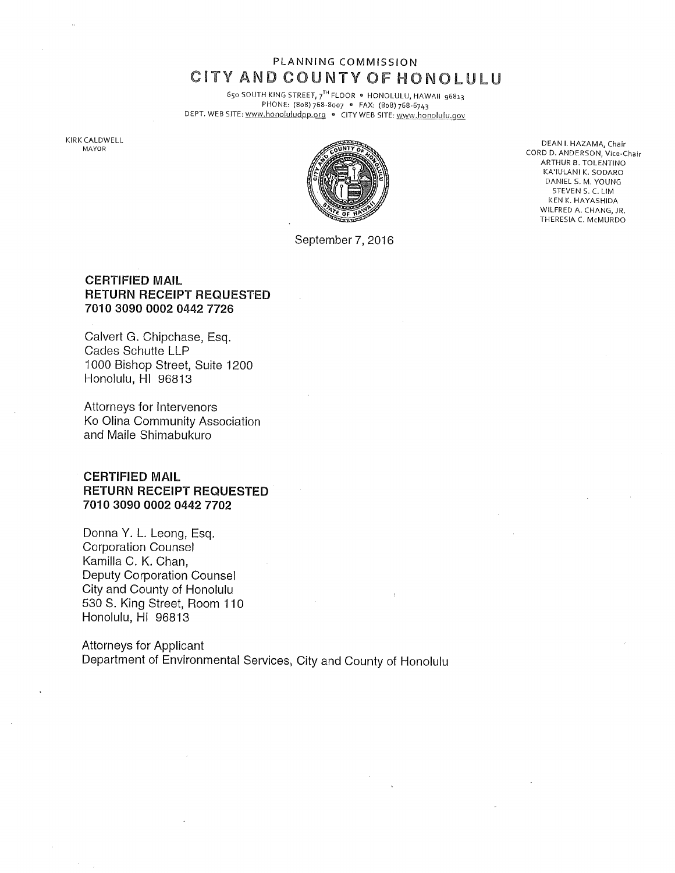## PLANNING COMMISSION CITY AND COUNTY OF HONOLULU

650 SOUTH KING STREET, 7<sup>TH</sup> FLOOR . HONOLULU, HAWAII 96813 PHONE: (8o8) 768-8oo7 o FAX: (808) 768-6743 DEPT, WEB SITE: www,honoluludpp.org , CITY WEB SITE: www.honolulu.gov

KIRK CALDWELL<br>MAYOR



September 7, 2016

CALDWELL<br>MAYOR CORD D. ANDERSON, Vice-Chair<br>CORD D. ANDERSON, Vice-Chair ARTHUR B. TOLENTINO KA'IULANI K. SODARO DANIEL S. M. YOUNG STEVEN S. C. LIM KEN K. HAYASHIDA WILFRED A. CHANG, JR. THERESIA C. McMURDO

### CERTIFIED MAIL RETURN RECEIPT REQUESTED 7010 3090 0002 0442 7726

Calvert G. Chipchase, Esq. Cades Schutte LLP 1000 Bishop Street, Suite 1200 Honolulu, HI 96813

Attorneys for Intervenors Ko Olina Community Association and Maile Shimabukuro

### CERTIFIED MAIL RETURN RECEIPT REQUESTED 7010 3090 0002 0442 7702

Donna Y. L. Leong, Esq. Corporation Counsel Kamilla C. K. Chan, Deputy Corporation Counsel City and County of Honolulu 530 S. King Street, Room 110 Honolulu, HI 96813

Attorneys for Applicant Department of Environmental Services, City and County of Honolulu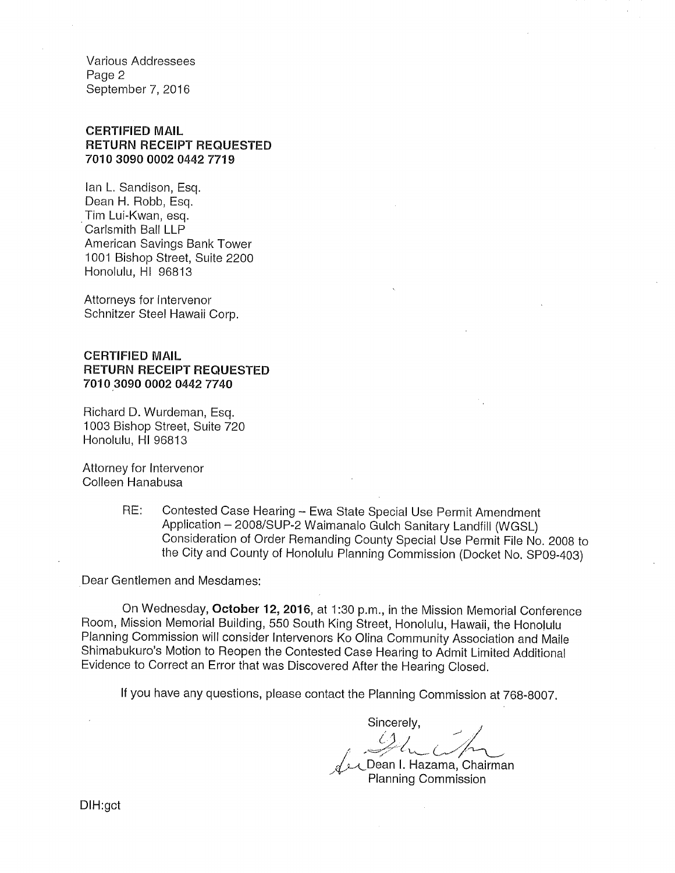Various Addressees Page 2 September 7, 2016

### CERTIFIED MAIL RETURN RECEIPT REQUESTED 7010 3090 0002 0442 7719

lan L. Sandison, Esq. Dean H. Robb, Esq. Tim Lui-Kwan, esq. Carlsmith Ball LLP American Savings Bank Tower 1001 Bishop Street, Suite 2200 Honolulu, HI 96813

Attorneys for Intervenor Schnitzer Steel Hawaii Corp.

#### CERTIFIED MAIL RETURN RECEIPT REQUESTED 7010 3090 0002 0442 7740

Richard D. Wurdeman, Esq. 1003 Bishop Street, Suite 720 Honolulu, HI 96813

Attorney for Intervenor Colleen Hanabusa

> RE: Contested Case Hearing -- Ewa State Special Use Permit Amendment Application - 2008/SUP-2 Waimanalo Gulch Sanitary Landfill (WGSL) Consideration of Order Remanding County Special Use Permit File No. 2008 to the City and County of Honolulu Planning Commission (Docket No. SP09-403)

Dear Gentlemen and Mesdames:

On Wednesday, October 12, 2016, at 1:30 p.m., in the Mission Memorial Conference Room, Mission Memorial Building, 550 South King Street, Honolulu, Hawaii, the Hono!ulu Planning Commission will consider Intervenors Ko Olina Community Association and Maile Shimabukuro's Motion to Reopen the Contested Case Hearing to Admit Limited Additional Evidence to Correct an Error that was Discovered After the Hearing Closed.

If you have any questions, please contact the Planning Commission at 768-8007.

Sincerely, f Dean I. Hazama, Chairman

Planning Commission

DIH:gct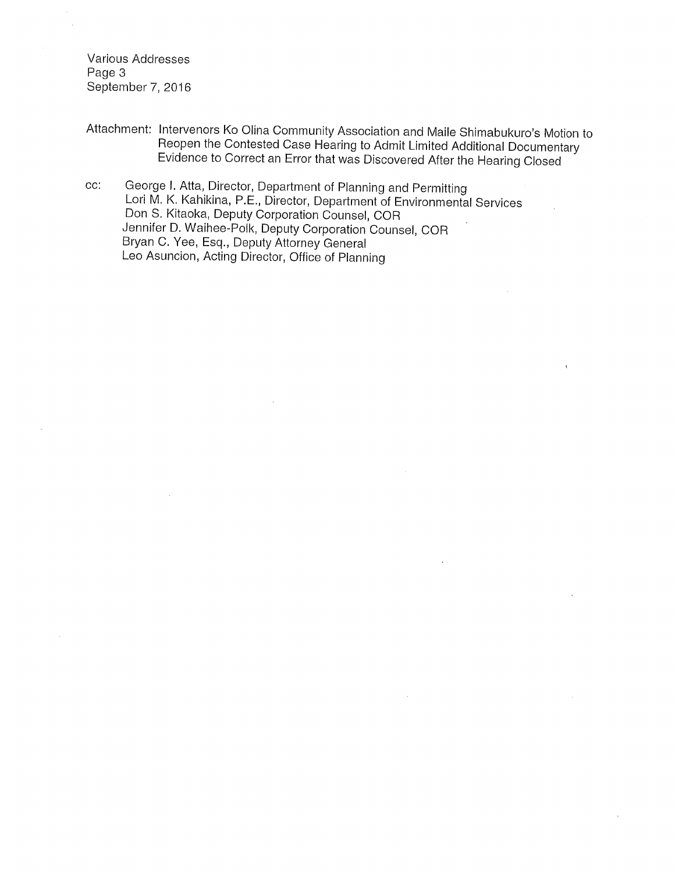Various Addresses Page 3 September 7, 2016

- Attachment: Intervenors Ko Olina Community Association and Maile Shimabukuro's Motion to Reopen the Contested Case Hearing to Admit Limited Additional Documentary Evidence to Correct an Error that was Discovered After the Hearing Closed
- CC: George I. Atta, Director, Department of Planning and Permitting Lori M. K. Kahikina, P.E., Director, Department of Environmental Services Don S. Kitaoka, Deputy Corporation Counsel, COR Jennifer D. Waihee-Polk, Deputy Corporation Counsel, COR Bryan C. Yee, Esq., Deputy Attorney General Leo Asuncion, Acting Director, Office of Planning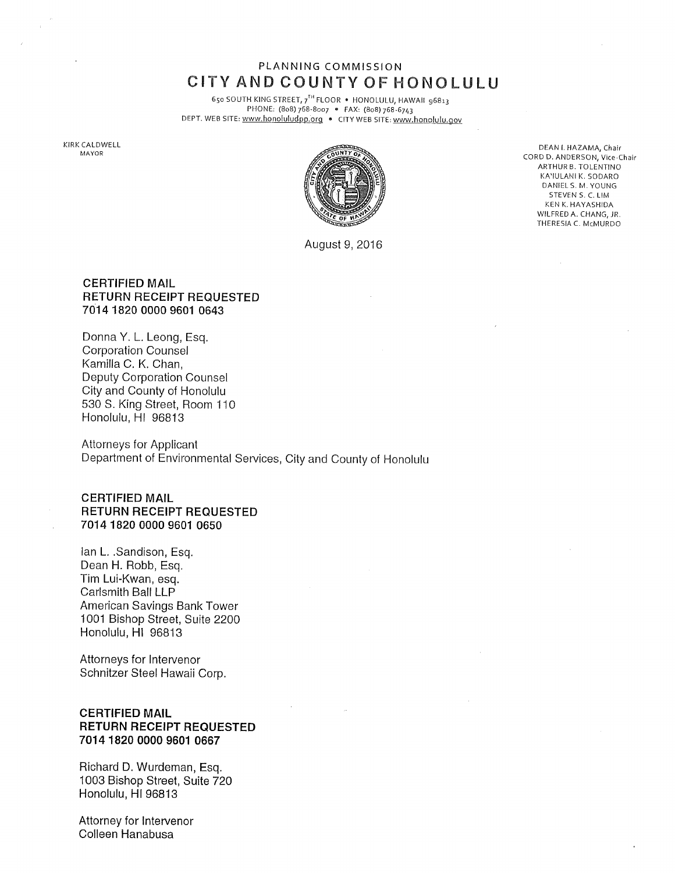## PLANNING COMMISSION CITY AND COUNTY OF HONOLULU

650 SOUTH KING STREET, 7<sup>TH</sup> FLOOR . HONOLULU, HAWAII 96813 PHONE: (8o8) 768-8oo7 o FAX: (8o8) 768-6743 DEPT. WEB SITE: www.honoluludpp.org • CITYWEB 51TE:www.honolulu.qov

KIRK CALDWELL



August 9, 2016

DEAN I. HAZAMA, Chair CORD D. ANDERSON, Vice-Chair ARTHUR B. TOLENTINO KA'IULANI K. SODARO DANIEL S. M. YOUNG STEVEN S. C. LIM KEN K. HAYASHIDA WILFRED A. CHANG, JR. THERESIA C. McMURDO

#### CERTIFIED MAIL RETURN RECEIPT REQUESTED 7014 1820 0000 9601 0643

Donna Y. L. Leong, Esq. Corporation Counsel Kamilla C. K. Chan, Deputy Corporation Counsel City and County of Honolulu 530 S. King Street, Room 110 Honolulu, HI 96813

Attorneys for Applicant Department of Environmental Services, City and County of Honolulu

CERTIFIED MAIL RETURN RECEIPT REQUESTED 7014 1820 0000 9601 0650

lan L..Sandison, Esq. Dean H. Robb, Esq. Tim Lui-Kwan, esq. Carlsmith Ball LLP American Savings Bank Tower 1001 Bishop Street, Suite 2200 Honolulu, HI 96813

Attorneys for Intervenor Schnitzer Steel Hawaii Corp.

#### CERTIFIED MAIL RETURN RECEIPT REQUESTED 7014 1820 0000 9601 0667

Richard D. Wurdeman, Esq. 1003 Bishop Street, Suite 720 Honolulu, HI 96813

Attorney for Intervenor Colleen Hanabusa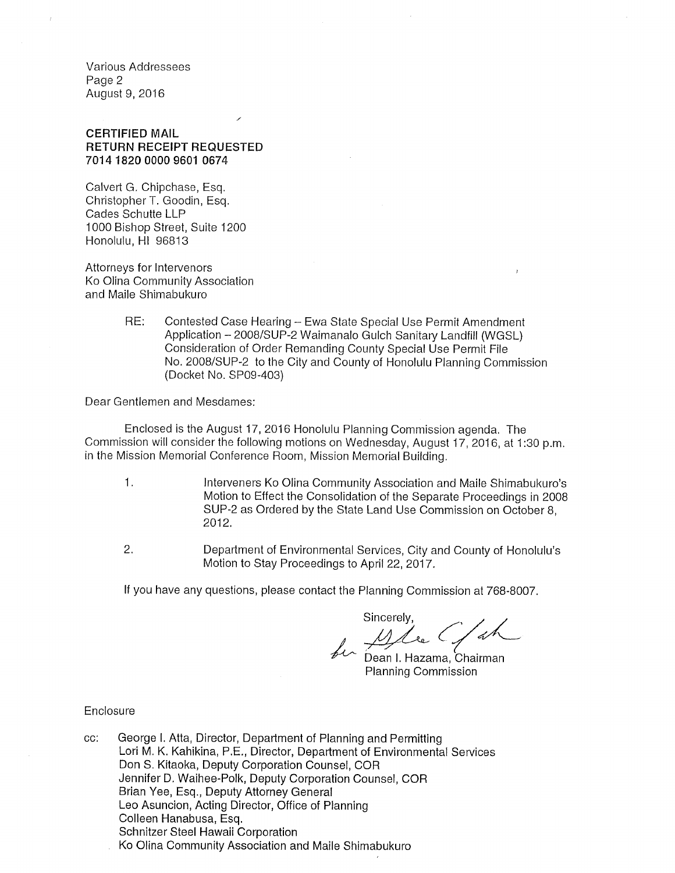Various Addressees Page 2 August 9, 2016

#### CERTIFIED MAIL RETURN RECEIPT REQUESTED 7014 1820 0000 9601 0674

J

Calvert G. Chipchase, Esq. Christopher T. Goodin, Esq. Cades Schutte LLP 1000 Bishop Street, Suite 1200 Honolulu, HI 96813

Attorneys for Intervenors Ko Olina Community Association and Maile Shimabukuro

> RE: Contested Case Hearing - Ewa State Special Use Permit Amendment Application - 2008/SUP-2 Waimanalo Gulch Sanitary Landfill (WGSL) Consideration of Order Remanding County Special Use Permit File No. 2008/SUP-2 to the City and County of Honolulu Planning Commission (Docket No. SP09-403)

Dear Gentlemen and Mesdames:

Enclosed is the August 17, 2016 Honolulu Planning Commission agenda. The Commission will consider the following motions on Wednesday, August 17,2016, at 1:30 p.m. in the Mission Memorial Conference Room, Mission Memorial Building.

- , Interveners Ko Olina Community Association and Maile Shimabukuro's Motion to Effect the Consolidation of the Separate Proceedings in 2008 SUP-2 as Ordered by the State Land Use Commission on October 8, 2012.
- , Department of Environmental Services, City and County of Honolulu's Motion to Stay Proceedings to April 22, 2017.

If you have any questions, please contact the Planning Commission at 768-8007.

Sincerely,<br>for Docentil C/ah

Dean I. Hazama, Chairman Planning Commission

#### Enclosure

CC: George I. Atta, Director, Department of Planning and Permitting Lori M. K. Kahikina, P.E., Director, Department of Environmental Services Don S. Kitaoka, Deputy Corporation Counsel, COR Jennifer D. Waihee-Polk, Deputy Corporation Counsel, COR Brian Yee, Esq., Deputy Attorney General Leo Asuncion, Acting Director, Office of Planning Colleen Hanabusa, Esq. Schnitzer Steel Hawaii Corporation Ko Olina Community Association and Maile Shimabukuro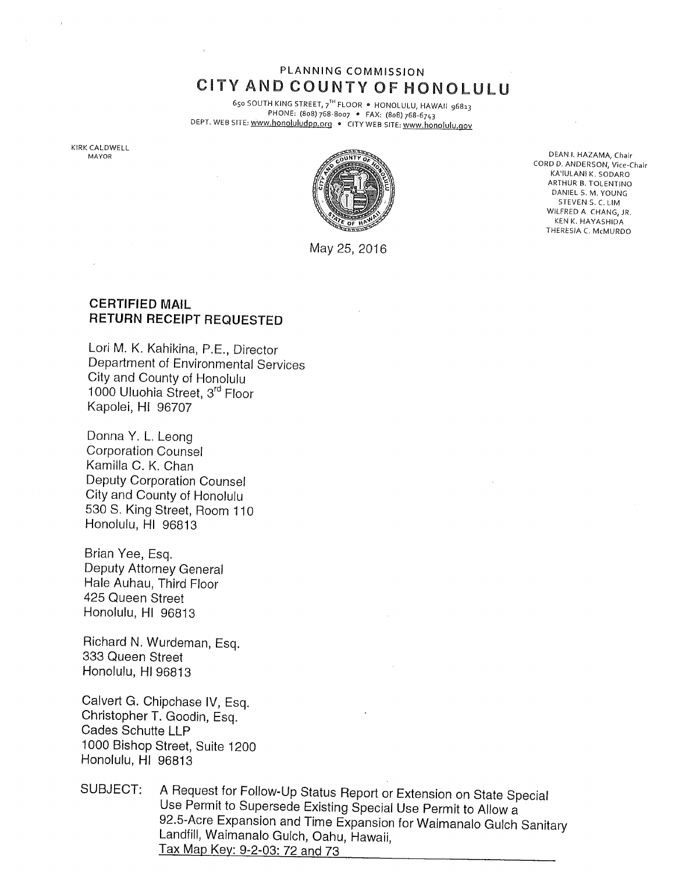## PLANNING COMMISSION CiTY AND COUNTY OF HONOLULU

65o SOUTH KING STREET, 7TH FLOOR • HONOLULU, HAWAIi 96813 PHONE: (8o8) 768-8oo7 e FAX: (8o8) 768-6743 DEPT. WEB SITE: www.honoluludpp.org . CITY WEB SITE: www.honolulu.gov

KIRK CALDWELL



May 25, 2016

CORD D. ANDERSON, Vice-Chair KA'IULANI K. SODARO ARTHUR B, TOLENTINO DANIEL S. M. YOUNG STEVENS. C, LIM WILFRED A. CHANG, JR. KEN K. HAYASHIDA THERESIA C. McMURDO

## CERTIFIED MAIL RETURN RECEIPT REQUESTED

Lori M. K. Kahikina, P.E., Director Department of Environmental Services City and County of Honolulu 1000 Uluohia Street, 3rd Floor Kapolei, HI 96707

Donna Y. L. Leong Corporation Counsel Kamilla C. K. Chan Deputy Corporation Counsel City and County of Honolulu 530 S. King Street, Room 110 Honolulu, HI 96813

Brian Yee, Esq. Deputy Attorney General Hale Auhau, Third Floor 425 Queen Street Honolulu, HI 96813

Richard N. Wurdeman, Esq. 333 Queen Street Honolulu, HI 96813

Calvert G. Chipchase IV, Esq. Christopher T. Goodin, Esq. Cades Schutte LLP 1000 Bishop Street, Suite 1200 Honolulu, HI 96813

SUBJECT: A Request for Follow-Up Status Report or Extension on State Special Use Permit to Supersede Existing Special Use Permit to Allow a 92.5-Acre Expansion and Time Expansion for Waimanalo Gulch Sanitary Landfill, Waimanalo Gulch, Oahu, Hawaii, Tax Map Key: 9-2-03:72 and 73